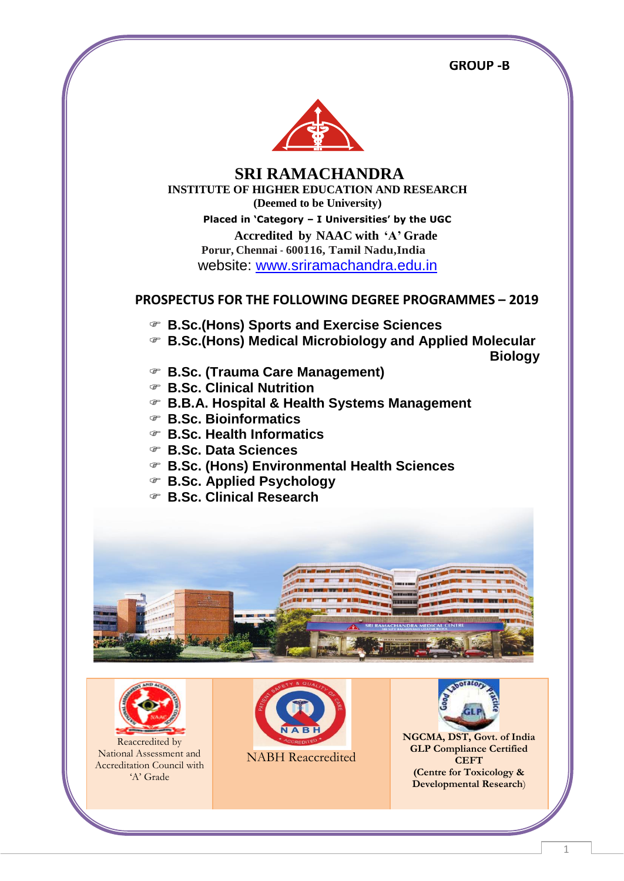**GROUP -B** And the state of the state of the state of the GROUP -B



 **SRI RAMACHANDRA INSTITUTE OF HIGHER EDUCATION AND RESEARCH (Deemed to be University) Placed in 'Category – I Universities' by the UGC Accredited by NAAC with 'A' Grade Porur, Chennai - 600116, Tamil Nadu,India** website: [www.sriramachandra.edu.in](http://www.sriramachandra.edu.in/)

### **PROSPECTUS FOR THE FOLLOWING DEGREE PROGRAMMES – 2019**

- **B.Sc.(Hons) Sports and Exercise Sciences**
- **B.Sc.(Hons) Medical Microbiology and Applied Molecular**

 **Biology**

- **B.Sc. (Trauma Care Management)**
- **B.Sc. Clinical Nutrition**
- **B.B.A. Hospital & Health Systems Management**
- **B.Sc. Bioinformatics**
- **B.Sc. Health Informatics**
- **B.Sc. Data Sciences**
- **B.Sc. (Hons) Environmental Health Sciences**
- **B.Sc. Applied Psychology**
- **B.Sc. Clinical Research**





Reaccredited by National Assessment and Accreditation Council with 'A' Grade



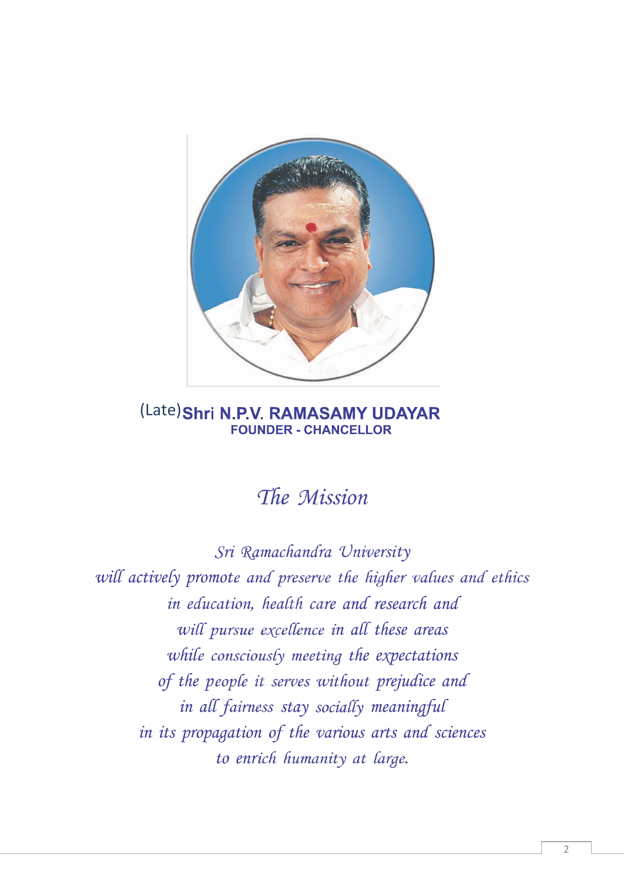

# (Late) Shri N.P.V. RAMASAMY UDAYAR **FOUNDER - CHANCELLOR**

# The Mission

Sri Ramachandra University will actively promote and preserve the higher values and ethics in education, health care and research and will pursue excellence in all these areas while consciously meeting the expectations of the people it serves without prejudice and in all fairness stay socially meaningful in its propagation of the various arts and sciences to enrich humanity at large.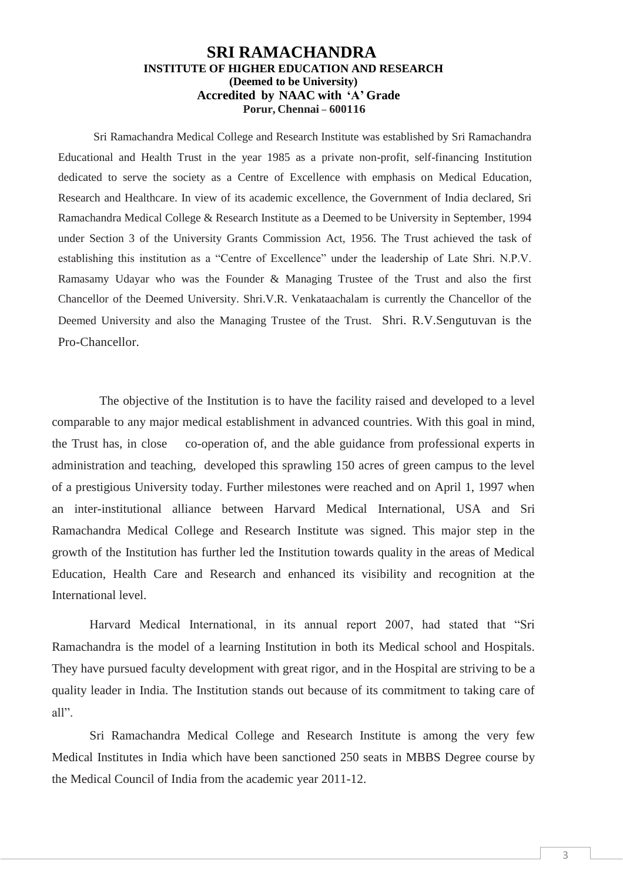### **SRI RAMACHANDRA INSTITUTE OF HIGHER EDUCATION AND RESEARCH (Deemed to be University) Accredited by NAAC with 'A' Grade Porur, Chennai – 600116**

Sri Ramachandra Medical College and Research Institute was established by Sri Ramachandra Educational and Health Trust in the year 1985 as a private non-profit, self-financing Institution dedicated to serve the society as a Centre of Excellence with emphasis on Medical Education, Research and Healthcare. In view of its academic excellence, the Government of India declared, Sri Ramachandra Medical College & Research Institute as a Deemed to be University in September, 1994 under Section 3 of the University Grants Commission Act, 1956. The Trust achieved the task of establishing this institution as a "Centre of Excellence" under the leadership of Late Shri. N.P.V. Ramasamy Udayar who was the Founder & Managing Trustee of the Trust and also the first Chancellor of the Deemed University. Shri.V.R. Venkataachalam is currently the Chancellor of the Deemed University and also the Managing Trustee of the Trust. Shri. R.V.Sengutuvan is the Pro-Chancellor.

The objective of the Institution is to have the facility raised and developed to a level comparable to any major medical establishment in advanced countries. With this goal in mind, the Trust has, in close co-operation of, and the able guidance from professional experts in administration and teaching, developed this sprawling 150 acres of green campus to the level of a prestigious University today. Further milestones were reached and on April 1, 1997 when an inter-institutional alliance between Harvard Medical International, USA and Sri Ramachandra Medical College and Research Institute was signed. This major step in the growth of the Institution has further led the Institution towards quality in the areas of Medical Education, Health Care and Research and enhanced its visibility and recognition at the International level.

Harvard Medical International, in its annual report 2007, had stated that "Sri Ramachandra is the model of a learning Institution in both its Medical school and Hospitals. They have pursued faculty development with great rigor, and in the Hospital are striving to be a quality leader in India. The Institution stands out because of its commitment to taking care of all".

Sri Ramachandra Medical College and Research Institute is among the very few Medical Institutes in India which have been sanctioned 250 seats in MBBS Degree course by the Medical Council of India from the academic year 2011-12.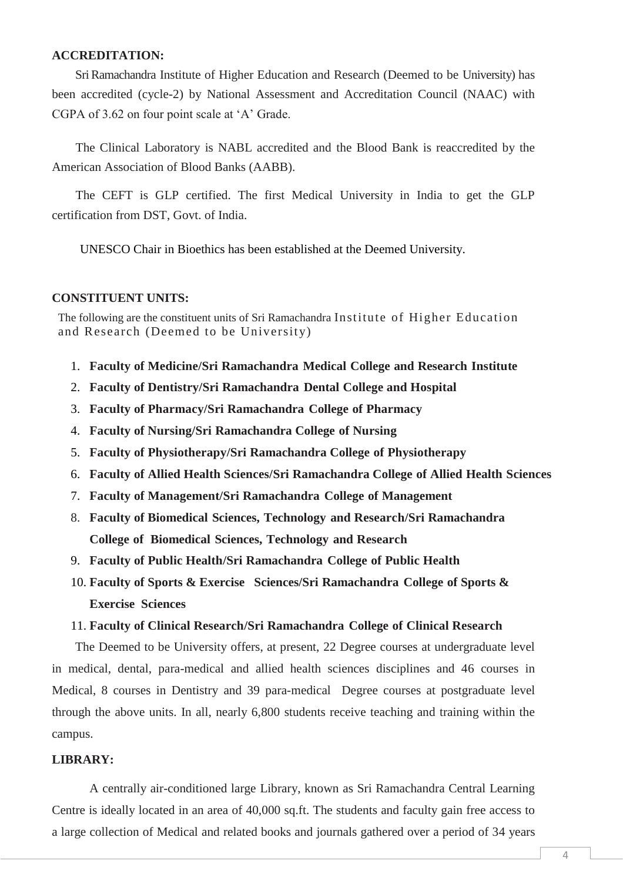### **ACCREDITATION:**

SriRamachandra Institute of Higher Education and Research (Deemed to be University) has been accredited (cycle-2) by National Assessment and Accreditation Council (NAAC) with CGPA of 3.62 on four point scale at 'A' Grade.

The Clinical Laboratory is NABL accredited and the Blood Bank is reaccredited by the American Association of Blood Banks (AABB).

The CEFT is GLP certified. The first Medical University in India to get the GLP certification from DST, Govt. of India.

UNESCO Chair in Bioethics has been established at the Deemed University.

### **CONSTITUENT UNITS:**

The following are the constituent units of Sri Ramachandra Institute of Higher Education and Research (Deemed to be University)

- 1. **Faculty of Medicine/Sri Ramachandra Medical College and Research Institute**
- 2. **Faculty of Dentistry/Sri Ramachandra Dental College and Hospital**
- 3. **Faculty of Pharmacy/Sri Ramachandra College of Pharmacy**
- 4. **Faculty of Nursing/Sri Ramachandra College of Nursing**
- 5. **Faculty of Physiotherapy/Sri Ramachandra College of Physiotherapy**
- 6. **Faculty of Allied Health Sciences/Sri Ramachandra College of Allied Health Sciences**
- 7. **Faculty of Management/Sri Ramachandra College of Management**
- 8. **Faculty of Biomedical Sciences, Technology and Research/Sri Ramachandra College of Biomedical Sciences, Technology and Research**
- 9. **Faculty of Public Health/Sri Ramachandra College of Public Health**
- 10. **Faculty of Sports & Exercise Sciences/Sri Ramachandra College of Sports & Exercise Sciences**

### 11. **Faculty of Clinical Research/Sri Ramachandra College of Clinical Research**

The Deemed to be University offers, at present, 22 Degree courses at undergraduate level in medical, dental, para-medical and allied health sciences disciplines and 46 courses in Medical, 8 courses in Dentistry and 39 para-medical Degree courses at postgraduate level through the above units. In all, nearly 6,800 students receive teaching and training within the campus.

### **LIBRARY:**

A centrally air-conditioned large Library, known as Sri Ramachandra Central Learning Centre is ideally located in an area of 40,000 sq.ft. The students and faculty gain free access to a large collection of Medical and related books and journals gathered over a period of 34 years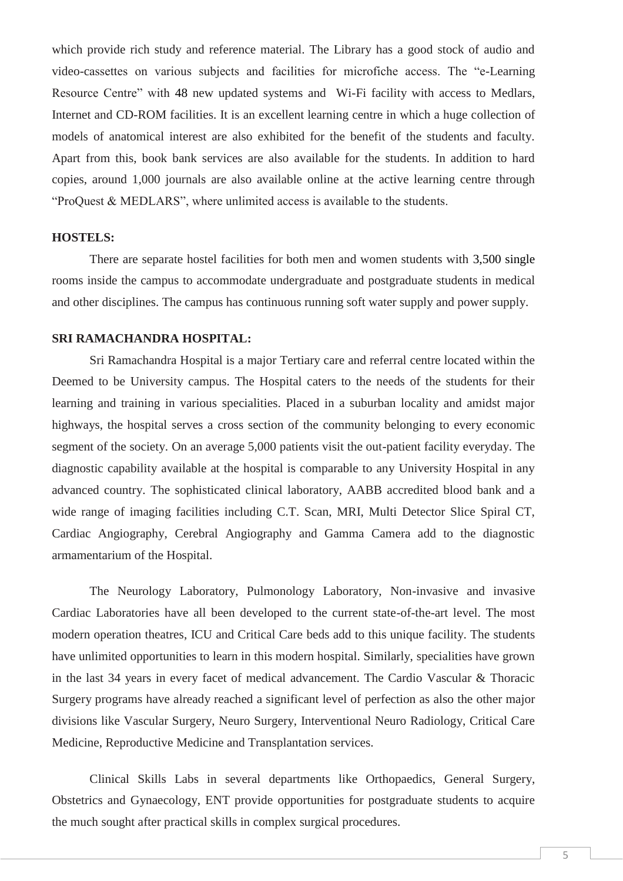which provide rich study and reference material. The Library has a good stock of audio and video-cassettes on various subjects and facilities for microfiche access. The "e-Learning Resource Centre" with 48 new updated systems and Wi-Fi facility with access to Medlars, Internet and CD-ROM facilities. It is an excellent learning centre in which a huge collection of models of anatomical interest are also exhibited for the benefit of the students and faculty. Apart from this, book bank services are also available for the students. In addition to hard copies, around 1,000 journals are also available online at the active learning centre through "ProQuest & MEDLARS", where unlimited access is available to the students.

### **HOSTELS:**

There are separate hostel facilities for both men and women students with 3,500 single rooms inside the campus to accommodate undergraduate and postgraduate students in medical and other disciplines. The campus has continuous running soft water supply and power supply.

### **SRI RAMACHANDRA HOSPITAL:**

Sri Ramachandra Hospital is a major Tertiary care and referral centre located within the Deemed to be University campus. The Hospital caters to the needs of the students for their learning and training in various specialities. Placed in a suburban locality and amidst major highways, the hospital serves a cross section of the community belonging to every economic segment of the society. On an average 5,000 patients visit the out-patient facility everyday. The diagnostic capability available at the hospital is comparable to any University Hospital in any advanced country. The sophisticated clinical laboratory, AABB accredited blood bank and a wide range of imaging facilities including C.T. Scan, MRI, Multi Detector Slice Spiral CT, Cardiac Angiography, Cerebral Angiography and Gamma Camera add to the diagnostic armamentarium of the Hospital.

The Neurology Laboratory, Pulmonology Laboratory, Non-invasive and invasive Cardiac Laboratories have all been developed to the current state-of-the-art level. The most modern operation theatres, ICU and Critical Care beds add to this unique facility. The students have unlimited opportunities to learn in this modern hospital. Similarly, specialities have grown in the last 34 years in every facet of medical advancement. The Cardio Vascular & Thoracic Surgery programs have already reached a significant level of perfection as also the other major divisions like Vascular Surgery, Neuro Surgery, Interventional Neuro Radiology, Critical Care Medicine, Reproductive Medicine and Transplantation services.

Clinical Skills Labs in several departments like Orthopaedics, General Surgery, Obstetrics and Gynaecology, ENT provide opportunities for postgraduate students to acquire the much sought after practical skills in complex surgical procedures.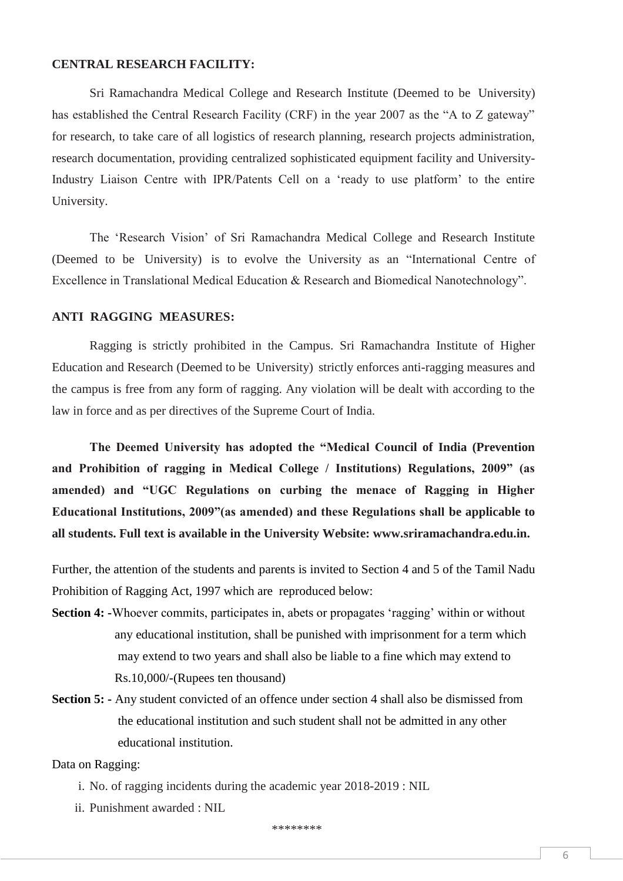### **CENTRAL RESEARCH FACILITY:**

Sri Ramachandra Medical College and Research Institute (Deemed to be University) has established the Central Research Facility (CRF) in the year 2007 as the "A to Z gateway" for research, to take care of all logistics of research planning, research projects administration, research documentation, providing centralized sophisticated equipment facility and University-Industry Liaison Centre with IPR/Patents Cell on a 'ready to use platform' to the entire University.

The 'Research Vision' of Sri Ramachandra Medical College and Research Institute (Deemed to be University) is to evolve the University as an "International Centre of Excellence in Translational Medical Education & Research and Biomedical Nanotechnology".

### **ANTI RAGGING MEASURES:**

Ragging is strictly prohibited in the Campus. Sri Ramachandra Institute of Higher Education and Research (Deemed to be University) strictly enforces anti-ragging measures and the campus is free from any form of ragging. Any violation will be dealt with according to the law in force and as per directives of the Supreme Court of India.

**The Deemed University has adopted the "Medical Council of India (Prevention and Prohibition of ragging in Medical College / Institutions) Regulations, 2009" (as amended) and "UGC Regulations on curbing the menace of Ragging in Higher Educational Institutions, 2009"(as amended) and these Regulations shall be applicable to all students. Full text is available in the University Website: www.sriramachandra.edu.in.** 

Further, the attention of the students and parents is invited to Section 4 and 5 of the Tamil Nadu Prohibition of Ragging Act, 1997 which are reproduced below:

- **Section 4:** -Whoever commits, participates in, abets or propagates 'ragging' within or without any educational institution, shall be punished with imprisonment for a term which may extend to two years and shall also be liable to a fine which may extend to Rs.10,000/-(Rupees ten thousand)
- **Section 5:** Any student convicted of an offence under section 4 shall also be dismissed from the educational institution and such student shall not be admitted in any other educational institution.

### Data on Ragging:

- i. No. of ragging incidents during the academic year 2018-2019 : NIL
- ii. Punishment awarded : NIL

\*\*\*\*\*\*\*\*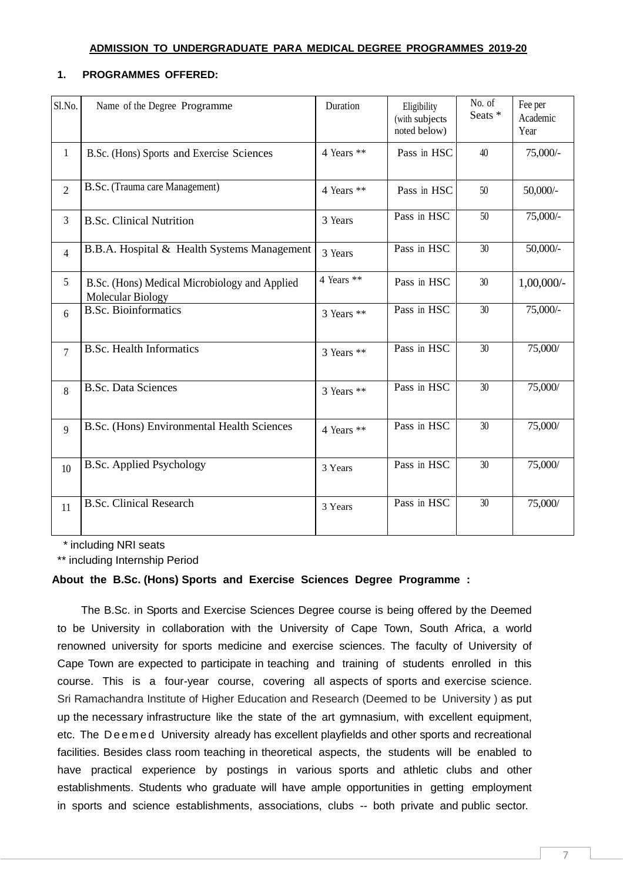### **ADMISSION TO UNDERGRADUATE PARA MEDICAL DEGREE PROGRAMMES 2019-20**

### **1. PROGRAMMES OFFERED:**

| Sl.No.         | Name of the Degree Programme                                              | Duration   | Eligibility<br>(with subjects<br>noted below) | No. of<br>Seats * | Fee per<br>Academic<br>Year |
|----------------|---------------------------------------------------------------------------|------------|-----------------------------------------------|-------------------|-----------------------------|
| $\mathbf{1}$   | B.Sc. (Hons) Sports and Exercise Sciences                                 | 4 Years ** | Pass in HSC                                   | 40                | 75,000/-                    |
| $\overline{2}$ | B.Sc. (Trauma care Management)                                            | 4 Years ** | Pass in HSC                                   | 50                | $50,000/$ -                 |
| 3              | <b>B.Sc. Clinical Nutrition</b>                                           | 3 Years    | Pass in HSC                                   | 50                | 75,000/-                    |
| $\overline{4}$ | B.B.A. Hospital & Health Systems Management                               | 3 Years    | Pass in HSC                                   | 30                | $50,000/$ -                 |
| 5              | B.Sc. (Hons) Medical Microbiology and Applied<br><b>Molecular Biology</b> | 4 Years ** | Pass in HSC                                   | 30                | $1,00,000/$ -               |
| 6              | <b>B.Sc. Bioinformatics</b>                                               | 3 Years ** | Pass in HSC                                   | 30                | 75,000/-                    |
| $\overline{7}$ | <b>B.Sc. Health Informatics</b>                                           | 3 Years ** | Pass in HSC                                   | 30                | 75,000/                     |
| 8              | <b>B.Sc. Data Sciences</b>                                                | 3 Years ** | Pass in HSC                                   | 30                | 75,000/                     |
| $\mathbf{Q}$   | B.Sc. (Hons) Environmental Health Sciences                                | 4 Years ** | Pass in HSC                                   | 30                | 75,000/                     |
| 10             | <b>B.Sc. Applied Psychology</b>                                           | 3 Years    | Pass in HSC                                   | 30                | 75,000/                     |
| 11             | <b>B.Sc. Clinical Research</b>                                            | 3 Years    | Pass in HSC                                   | 30                | 75,000/                     |

\* including NRI seats

\*\* including Internship Period

### **About the B.Sc. (Hons) Sports and Exercise Sciences Degree Programme :**

The B.Sc. in Sports and Exercise Sciences Degree course is being offered by the Deemed to be University in collaboration with the University of Cape Town, South Africa, a world renowned university for sports medicine and exercise sciences. The faculty of University of Cape Town are expected to participate in teaching and training of students enrolled in this course. This is a four-year course, covering all aspects of sports and exercise science. Sri Ramachandra Institute of Higher Education and Research (Deemed to be University ) as put up the necessary infrastructure like the state of the art gymnasium, with excellent equipment, etc. The Deemed University already has excellent playfields and other sports and recreational facilities. Besides class room teaching in theoretical aspects, the students will be enabled to have practical experience by postings in various sports and athletic clubs and other establishments. Students who graduate will have ample opportunities in getting employment in sports and science establishments, associations, clubs -- both private and public sector.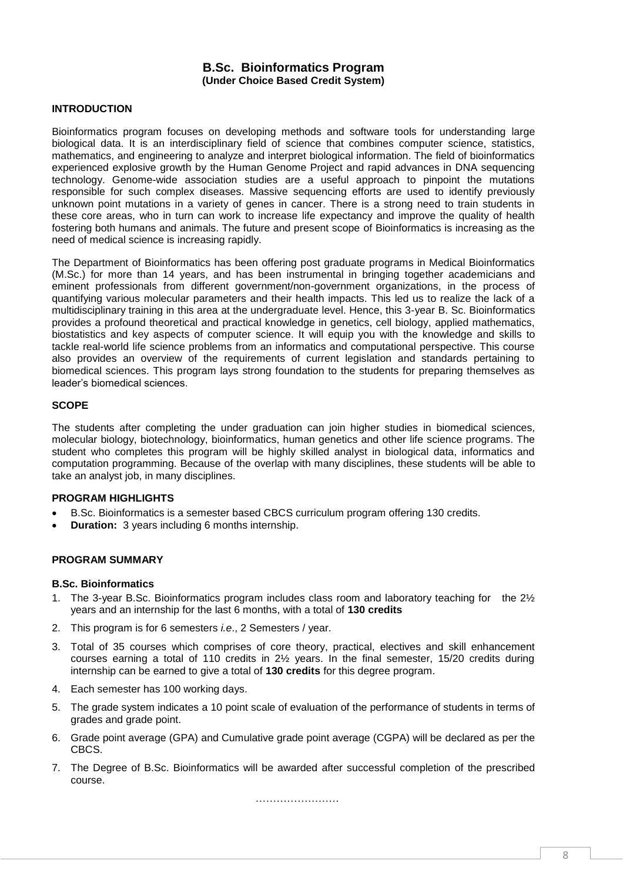### **B.Sc. Bioinformatics Program (Under Choice Based Credit System)**

### **INTRODUCTION**

Bioinformatics program focuses on developing methods and software tools for understanding large biological data. It is an interdisciplinary field of science that combines computer science, statistics, mathematics, and engineering to analyze and interpret biological information. The field of bioinformatics experienced explosive growth by the Human Genome Project and rapid advances in DNA sequencing technology. Genome-wide association studies are a useful approach to pinpoint the mutations responsible for such complex diseases. Massive sequencing efforts are used to identify previously unknown point mutations in a variety of genes in cancer. There is a strong need to train students in these core areas, who in turn can work to increase life expectancy and improve the quality of health fostering both humans and animals. The future and present scope of Bioinformatics is increasing as the need of medical science is increasing rapidly.

The Department of Bioinformatics has been offering post graduate programs in Medical Bioinformatics (M.Sc.) for more than 14 years, and has been instrumental in bringing together academicians and eminent professionals from different government/non-government organizations, in the process of quantifying various molecular parameters and their health impacts. This led us to realize the lack of a multidisciplinary training in this area at the undergraduate level. Hence, this 3-year B. Sc. Bioinformatics provides a profound theoretical and practical knowledge in genetics, cell biology, applied mathematics, biostatistics and key aspects of computer science. It will equip you with the knowledge and skills to tackle real-world life science problems from an informatics and computational perspective. This course also provides an overview of the requirements of current legislation and standards pertaining to biomedical sciences. This program lays strong foundation to the students for preparing themselves as leader's biomedical sciences.

#### **SCOPE**

The students after completing the under graduation can join higher studies in biomedical sciences, molecular biology, biotechnology, bioinformatics, human genetics and other life science programs. The student who completes this program will be highly skilled analyst in biological data, informatics and computation programming. Because of the overlap with many disciplines, these students will be able to take an analyst job, in many disciplines.

#### **PROGRAM HIGHLIGHTS**

- B.Sc. Bioinformatics is a semester based CBCS curriculum program offering 130 credits.
- **Duration:** 3 years including 6 months internship.

### **PROGRAM SUMMARY**

#### **B.Sc. Bioinformatics**

- 1. The 3-year B.Sc. Bioinformatics program includes class room and laboratory teaching for the 2½ years and an internship for the last 6 months, with a total of **130 credits**
- 2. This program is for 6 semesters *i.e*., 2 Semesters / year.
- 3. Total of 35 courses which comprises of core theory, practical, electives and skill enhancement courses earning a total of 110 credits in 2½ years. In the final semester, 15/20 credits during internship can be earned to give a total of **130 credits** for this degree program.
- 4. Each semester has 100 working days.
- 5. The grade system indicates a 10 point scale of evaluation of the performance of students in terms of grades and grade point.
- 6. Grade point average (GPA) and Cumulative grade point average (CGPA) will be declared as per the CBCS.
- 7. The Degree of B.Sc. Bioinformatics will be awarded after successful completion of the prescribed course.

……………………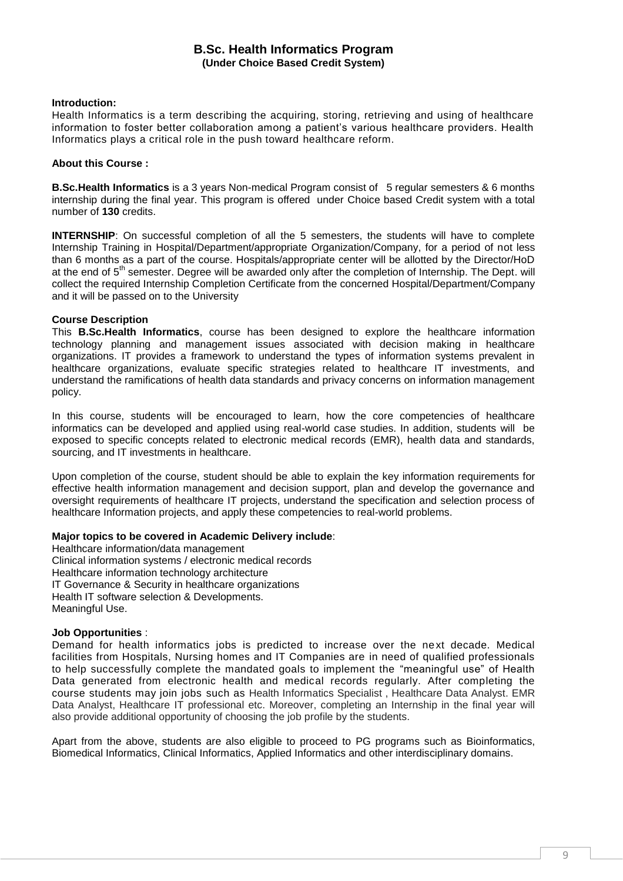### **B.Sc. Health Informatics Program (Under Choice Based Credit System)**

#### **Introduction:**

Health Informatics is a term describing the acquiring, storing, retrieving and using of healthcare information to foster better collaboration among a patient's various healthcare providers. Health Informatics plays a critical role in the push toward healthcare reform.

#### **About this Course :**

**B.Sc.Health Informatics** is a 3 years Non-medical Program consist of 5 regular semesters & 6 months internship during the final year. This program is offered under Choice based Credit system with a total number of **130** credits.

**INTERNSHIP**: On successful completion of all the 5 semesters, the students will have to complete Internship Training in Hospital/Department/appropriate Organization/Company, for a period of not less than 6 months as a part of the course. Hospitals/appropriate center will be allotted by the Director/HoD at the end of 5<sup>th</sup> semester. Degree will be awarded only after the completion of Internship. The Dept. will collect the required Internship Completion Certificate from the concerned Hospital/Department/Company and it will be passed on to the University

### **Course Description**

This **B.Sc.Health Informatics**, course has been designed to explore the healthcare information technology planning and management issues associated with decision making in healthcare organizations. IT provides a framework to understand the types of information systems prevalent in healthcare organizations, evaluate specific strategies related to healthcare IT investments, and understand the ramifications of health data standards and privacy concerns on information management policy.

In this course, students will be encouraged to learn, how the core competencies of healthcare informatics can be developed and applied using real-world case studies. In addition, students will be exposed to specific concepts related to electronic medical records (EMR), health data and standards, sourcing, and IT investments in healthcare.

Upon completion of the course, student should be able to explain the key information requirements for effective health information management and decision support, plan and develop the governance and oversight requirements of healthcare IT projects, understand the specification and selection process of healthcare Information projects, and apply these competencies to real-world problems.

#### **Major topics to be covered in Academic Delivery include**:

Healthcare information/data management Clinical information systems / electronic medical records Healthcare information technology architecture IT Governance & Security in healthcare organizations Health IT software selection & Developments. Meaningful Use.

### **Job Opportunities** :

Demand for health informatics jobs is predicted to increase over the next decade. Medical facilities from Hospitals, Nursing homes and IT Companies are in need of qualified professionals to help successfully complete the mandated goals to implement the "meaningful use" of Health Data generated from electronic health and medical records regularly. After completing the course students may join jobs such as Health Informatics Specialist , Healthcare Data Analyst. EMR Data Analyst, Healthcare IT professional etc. Moreover, completing an Internship in the final year will also provide additional opportunity of choosing the job profile by the students.

Apart from the above, students are also eligible to proceed to PG programs such as Bioinformatics, Biomedical Informatics, Clinical Informatics, Applied Informatics and other interdisciplinary domains.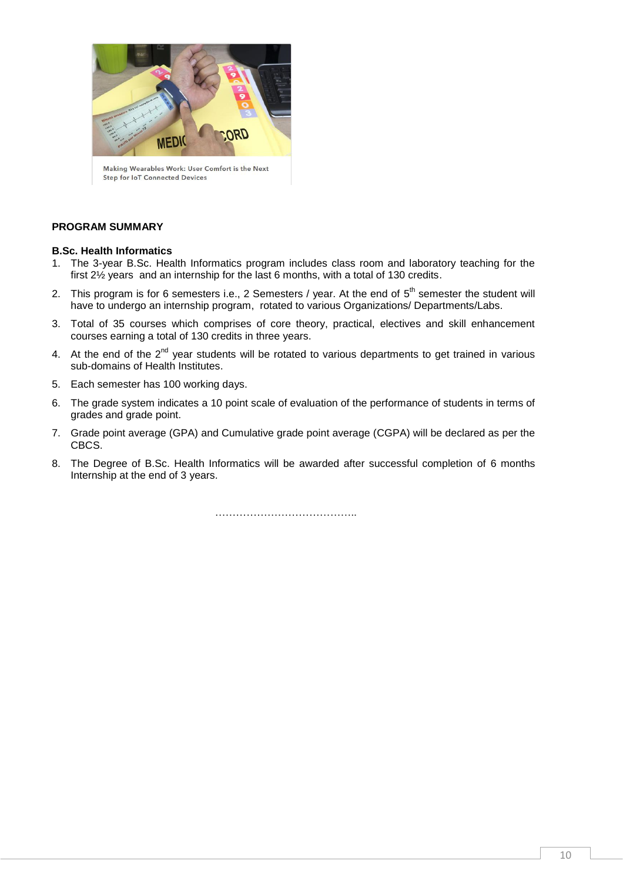

Making Wearables Work: User Comfort is the Next **Step for IoT Connected Devices** 

#### **PROGRAM SUMMARY**

#### **B.Sc. Health Informatics**

- 1. The 3-year B.Sc. Health Informatics program includes class room and laboratory teaching for the first 2½ years and an internship for the last 6 months, with a total of 130 credits.
- 2. This program is for 6 semesters i.e., 2 Semesters / year. At the end of  $5^{\text{th}}$  semester the student will have to undergo an internship program, rotated to various Organizations/ Departments/Labs.
- 3. Total of 35 courses which comprises of core theory, practical, electives and skill enhancement courses earning a total of 130 credits in three years.
- 4. At the end of the  $2^{nd}$  year students will be rotated to various departments to get trained in various sub-domains of Health Institutes.
- 5. Each semester has 100 working days.
- 6. The grade system indicates a 10 point scale of evaluation of the performance of students in terms of grades and grade point.
- 7. Grade point average (GPA) and Cumulative grade point average (CGPA) will be declared as per the CBCS.
- 8. The Degree of B.Sc. Health Informatics will be awarded after successful completion of 6 months Internship at the end of 3 years.

……………………………………………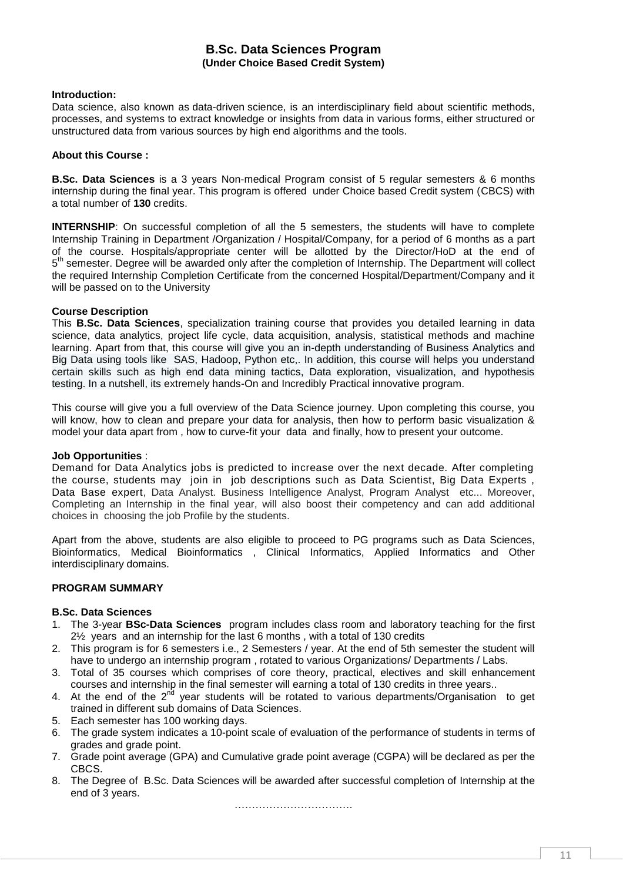### **B.Sc. Data Sciences Program (Under Choice Based Credit System)**

#### **Introduction:**

Data science, also known as data-driven science, is an interdisciplinary field about scientific methods, processes, and systems to extract knowledge or insights from data in various forms, either structured or unstructured data from various sources by high end algorithms and the tools.

### **About this Course :**

**B.Sc. Data Sciences** is a 3 years Non-medical Program consist of 5 regular semesters & 6 months internship during the final year. This program is offered under Choice based Credit system (CBCS) with a total number of **130** credits.

**INTERNSHIP**: On successful completion of all the 5 semesters, the students will have to complete Internship Training in Department /Organization / Hospital/Company, for a period of 6 months as a part of the course. Hospitals/appropriate center will be allotted by the Director/HoD at the end of 5<sup>th</sup> semester. Degree will be awarded only after the completion of Internship. The Department will collect the required Internship Completion Certificate from the concerned Hospital/Department/Company and it will be passed on to the University

#### **Course Description**

This **B.Sc. Data Sciences**, specialization training course that provides you detailed learning in data science, data analytics, project life cycle, data acquisition, analysis, statistical methods and machine learning. Apart from that, this course will give you an in-depth understanding of Business Analytics and Big Data using tools like SAS, Hadoop, Python etc,. In addition, this course will helps you understand certain skills such as high end data mining tactics, Data exploration, visualization, and hypothesis testing. In a nutshell, its extremely hands-On and Incredibly Practical innovative program.

This course will give you a full overview of the Data Science journey. Upon completing this course, you will know, how to clean and prepare your data for analysis, then how to perform basic visualization & model your data apart from , how to curve-fit your data and finally, how to present your outcome.

#### **Job Opportunities** :

Demand for Data Analytics jobs is predicted to increase over the next decade. After completing the course, students may join in job descriptions such as Data Scientist, Big Data Experts , Data Base expert, Data Analyst. Business Intelligence Analyst, Program Analyst etc... Moreover, Completing an Internship in the final year, will also boost their competency and can add additional choices in choosing the job Profile by the students.

Apart from the above, students are also eligible to proceed to PG programs such as Data Sciences, Bioinformatics, Medical Bioinformatics , Clinical Informatics, Applied Informatics and Other interdisciplinary domains.

### **PROGRAM SUMMARY**

#### **B.Sc. Data Sciences**

- 1. The 3-year **BSc-Data Sciences** program includes class room and laboratory teaching for the first 2½ years and an internship for the last 6 months , with a total of 130 credits
- 2. This program is for 6 semesters i.e., 2 Semesters / year. At the end of 5th semester the student will have to undergo an internship program , rotated to various Organizations/ Departments / Labs.
- 3. Total of 35 courses which comprises of core theory, practical, electives and skill enhancement courses and internship in the final semester will earning a total of 130 credits in three years..
- 4. At the end of the  $2<sup>nd</sup>$  year students will be rotated to various departments/Organisation to get trained in different sub domains of Data Sciences.
- 5. Each semester has 100 working days.
- 6. The grade system indicates a 10-point scale of evaluation of the performance of students in terms of grades and grade point.
- 7. Grade point average (GPA) and Cumulative grade point average (CGPA) will be declared as per the CBCS.
- 8. The Degree of B.Sc. Data Sciences will be awarded after successful completion of Internship at the end of 3 years.

…………………………….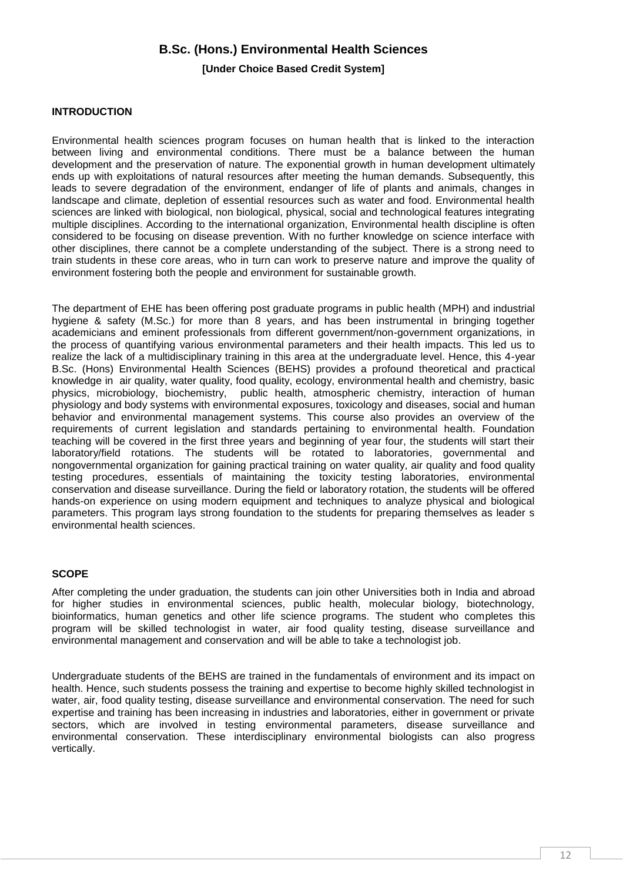### **B.Sc. (Hons.) Environmental Health Sciences**

### **[Under Choice Based Credit System]**

#### **INTRODUCTION**

Environmental health sciences program focuses on human health that is linked to the interaction between living and environmental conditions. There must be a balance between the human development and the preservation of nature. The exponential growth in human development ultimately ends up with exploitations of natural resources after meeting the human demands. Subsequently, this leads to severe degradation of the environment, endanger of life of plants and animals, changes in landscape and climate, depletion of essential resources such as water and food. Environmental health sciences are linked with biological, non biological, physical, social and technological features integrating multiple disciplines. According to the international organization, Environmental health discipline is often considered to be focusing on disease prevention. With no further knowledge on science interface with other disciplines, there cannot be a complete understanding of the subject. There is a strong need to train students in these core areas, who in turn can work to preserve nature and improve the quality of environment fostering both the people and environment for sustainable growth.

The department of EHE has been offering post graduate programs in public health (MPH) and industrial hygiene & safety (M.Sc.) for more than 8 years, and has been instrumental in bringing together academicians and eminent professionals from different government/non-government organizations, in the process of quantifying various environmental parameters and their health impacts. This led us to realize the lack of a multidisciplinary training in this area at the undergraduate level. Hence, this 4-year B.Sc. (Hons) Environmental Health Sciences (BEHS) provides a profound theoretical and practical knowledge in air quality, water quality, food quality, ecology, environmental health and chemistry, basic physics, microbiology, biochemistry, public health, atmospheric chemistry, interaction of human physiology and body systems with environmental exposures, toxicology and diseases, social and human behavior and environmental management systems. This course also provides an overview of the requirements of current legislation and standards pertaining to environmental health. Foundation teaching will be covered in the first three years and beginning of year four, the students will start their laboratory/field rotations. The students will be rotated to laboratories, governmental and nongovernmental organization for gaining practical training on water quality, air quality and food quality testing procedures, essentials of maintaining the toxicity testing laboratories, environmental conservation and disease surveillance. During the field or laboratory rotation, the students will be offered hands-on experience on using modern equipment and techniques to analyze physical and biological parameters. This program lays strong foundation to the students for preparing themselves as leader s environmental health sciences.

#### **SCOPE**

After completing the under graduation, the students can join other Universities both in India and abroad for higher studies in environmental sciences, public health, molecular biology, biotechnology, bioinformatics, human genetics and other life science programs. The student who completes this program will be skilled technologist in water, air food quality testing, disease surveillance and environmental management and conservation and will be able to take a technologist job.

Undergraduate students of the BEHS are trained in the fundamentals of environment and its impact on health. Hence, such students possess the training and expertise to become highly skilled technologist in water, air, food quality testing, disease surveillance and environmental conservation. The need for such expertise and training has been increasing in industries and laboratories, either in government or private sectors, which are involved in testing environmental parameters, disease surveillance and environmental conservation. These interdisciplinary environmental biologists can also progress vertically.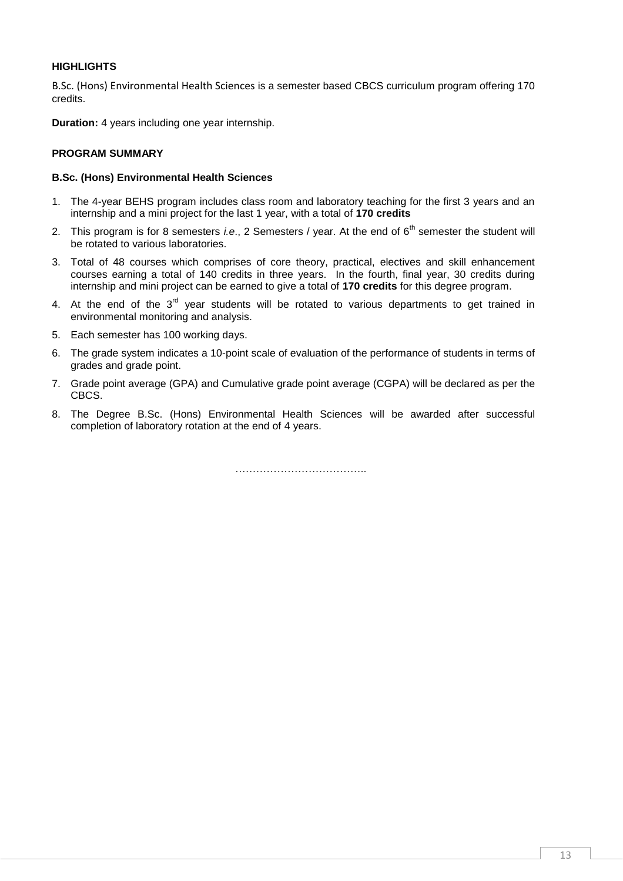### **HIGHLIGHTS**

B.Sc. (Hons) Environmental Health Sciences is a semester based CBCS curriculum program offering 170 credits.

**Duration:** 4 years including one year internship.

### **PROGRAM SUMMARY**

### **B.Sc. (Hons) Environmental Health Sciences**

- 1. The 4-year BEHS program includes class room and laboratory teaching for the first 3 years and an internship and a mini project for the last 1 year, with a total of **170 credits**
- 2. This program is for 8 semesters *i.e.*, 2 Semesters / year. At the end of 6<sup>th</sup> semester the student will be rotated to various laboratories.
- 3. Total of 48 courses which comprises of core theory, practical, electives and skill enhancement courses earning a total of 140 credits in three years. In the fourth, final year, 30 credits during internship and mini project can be earned to give a total of **170 credits** for this degree program.
- 4. At the end of the  $3<sup>rd</sup>$  year students will be rotated to various departments to get trained in environmental monitoring and analysis.
- 5. Each semester has 100 working days.
- 6. The grade system indicates a 10-point scale of evaluation of the performance of students in terms of grades and grade point.
- 7. Grade point average (GPA) and Cumulative grade point average (CGPA) will be declared as per the CBCS.
- 8. The Degree B.Sc. (Hons) Environmental Health Sciences will be awarded after successful completion of laboratory rotation at the end of 4 years.

…………………………………………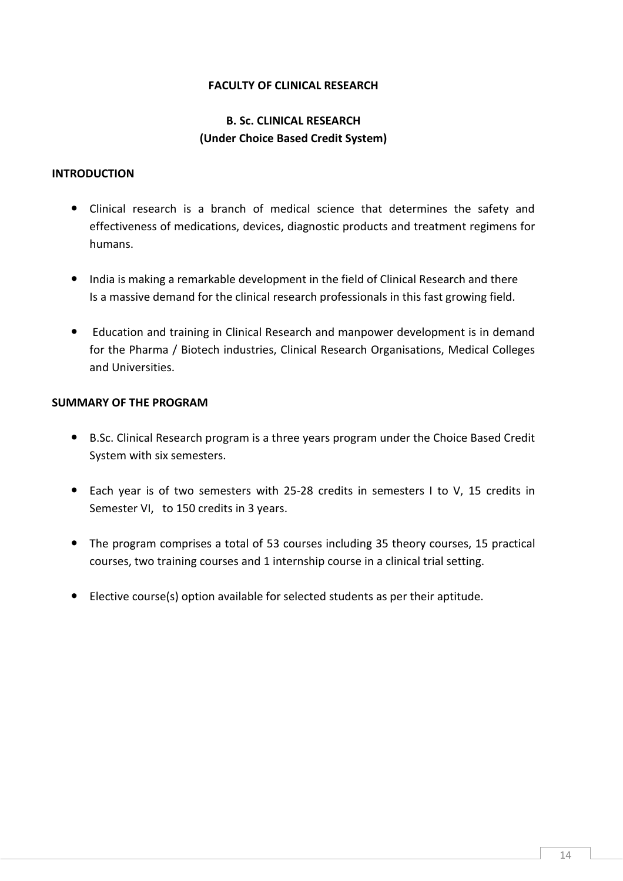### **FACULTY OF CLINICAL RESEARCH**

### **B. Sc. CLINICAL RESEARCH (Under Choice Based Credit System)**

### **INTRODUCTION**

- Clinical research is a branch of medical science that determines the safety and effectiveness of medications, devices, diagnostic products and treatment regimens for humans.
- India is making a remarkable development in the field of Clinical Research and there Is a massive demand for the clinical research professionals in this fast growing field.
- Education and training in Clinical Research and manpower development is in demand for the Pharma / Biotech industries, Clinical Research Organisations, Medical Colleges and Universities.

### **SUMMARY OF THE PROGRAM**

- B.Sc. Clinical Research program is a three years program under the Choice Based Credit System with six semesters.
- Each year is of two semesters with 25-28 credits in semesters I to V, 15 credits in Semester VI, to 150 credits in 3 years.
- The program comprises a total of 53 courses including 35 theory courses, 15 practical courses, two training courses and 1 internship course in a clinical trial setting.
- Elective course(s) option available for selected students as per their aptitude.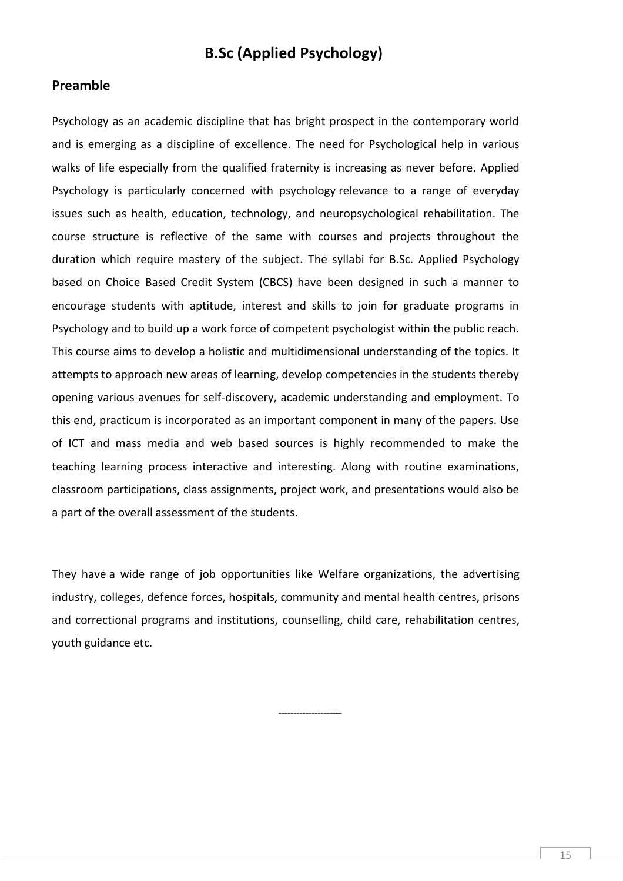## **B.Sc (Applied Psychology)**

### **Preamble**

Psychology as an academic discipline that has bright prospect in the contemporary world and is emerging as a discipline of excellence. The need for Psychological help in various walks of life especially from the qualified fraternity is increasing as never before. Applied Psychology is particularly concerned with psychology relevance to a range of everyday issues such as health, education, technology, and neuropsychological rehabilitation. The course structure is reflective of the same with courses and projects throughout the duration which require mastery of the subject. The syllabi for B.Sc. Applied Psychology based on Choice Based Credit System (CBCS) have been designed in such a manner to encourage students with aptitude, interest and skills to join for graduate programs in Psychology and to build up a work force of competent psychologist within the public reach. This course aims to develop a holistic and multidimensional understanding of the topics. It attempts to approach new areas of learning, develop competencies in the students thereby opening various avenues for self-discovery, academic understanding and employment. To this end, practicum is incorporated as an important component in many of the papers. Use of ICT and mass media and web based sources is highly recommended to make the teaching learning process interactive and interesting. Along with routine examinations, classroom participations, class assignments, project work, and presentations would also be a part of the overall assessment of the students.

They have a wide range of job opportunities like Welfare organizations, the advertising industry, colleges, defence forces, hospitals, community and mental health centres, prisons and correctional programs and institutions, counselling, child care, rehabilitation centres, youth guidance etc.

---------------------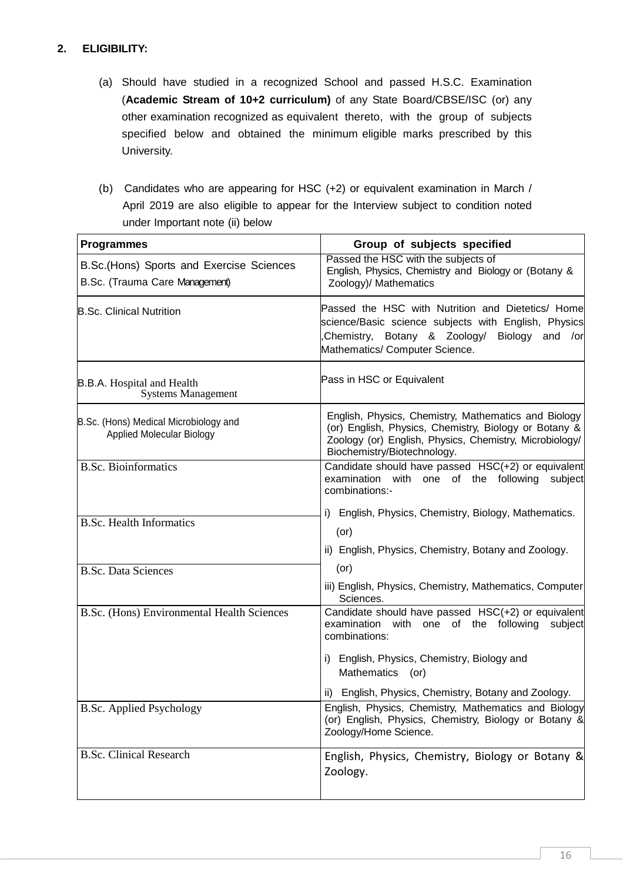### **2. ELIGIBILITY:**

- (a) Should have studied in a recognized School and passed H.S.C. Examination (**Academic Stream of 10+2 curriculum)** of any State Board/CBSE/ISC (or) any other examination recognized as equivalent thereto, with the group of subjects specified below and obtained the minimum eligible marks prescribed by this University.
- (b) Candidates who are appearing for HSC (+2) or equivalent examination in March / April 2019 are also eligible to appear for the Interview subject to condition noted under Important note (ii) below

| <b>Programmes</b>                                                           | Group of subjects specified                                                                                                                                                                             |  |  |  |
|-----------------------------------------------------------------------------|---------------------------------------------------------------------------------------------------------------------------------------------------------------------------------------------------------|--|--|--|
| B.Sc. (Hons) Sports and Exercise Sciences<br>B.Sc. (Trauma Care Management) | Passed the HSC with the subjects of<br>English, Physics, Chemistry and Biology or (Botany &<br>Zoology)/ Mathematics                                                                                    |  |  |  |
| <b>B.Sc. Clinical Nutrition</b>                                             | Passed the HSC with Nutrition and Dietetics/ Home<br>science/Basic science subjects with English, Physics<br>Chemistry, Botany & Zoology/<br>Biology and /or<br>Mathematics/ Computer Science.          |  |  |  |
| <b>B.B.A.</b> Hospital and Health<br><b>Systems Management</b>              | Pass in HSC or Equivalent                                                                                                                                                                               |  |  |  |
| B.Sc. (Hons) Medical Microbiology and<br><b>Applied Molecular Biology</b>   | English, Physics, Chemistry, Mathematics and Biology<br>(or) English, Physics, Chemistry, Biology or Botany &<br>Zoology (or) English, Physics, Chemistry, Microbiology/<br>Biochemistry/Biotechnology. |  |  |  |
| <b>B.Sc. Bioinformatics</b>                                                 | Candidate should have passed HSC(+2) or equivalent<br>examination with one of the following<br>subject<br>combinations:-                                                                                |  |  |  |
| <b>B.Sc. Health Informatics</b>                                             | i) English, Physics, Chemistry, Biology, Mathematics.<br>$($ or $)$<br>ii) English, Physics, Chemistry, Botany and Zoology.                                                                             |  |  |  |
| <b>B.Sc. Data Sciences</b>                                                  | $($ or $)$                                                                                                                                                                                              |  |  |  |
|                                                                             | iii) English, Physics, Chemistry, Mathematics, Computer<br>Sciences.                                                                                                                                    |  |  |  |
| B.Sc. (Hons) Environmental Health Sciences                                  | Candidate should have passed HSC(+2) or equivalent<br>examination with one of the following<br>subject<br>combinations:                                                                                 |  |  |  |
|                                                                             | i) English, Physics, Chemistry, Biology and<br><b>Mathematics</b><br>(or)                                                                                                                               |  |  |  |
|                                                                             | ii) English, Physics, Chemistry, Botany and Zoology.                                                                                                                                                    |  |  |  |
| <b>B.Sc. Applied Psychology</b>                                             | English, Physics, Chemistry, Mathematics and Biology<br>(or) English, Physics, Chemistry, Biology or Botany &<br>Zoology/Home Science.                                                                  |  |  |  |
| <b>B.Sc. Clinical Research</b>                                              | English, Physics, Chemistry, Biology or Botany &<br>Zoology.                                                                                                                                            |  |  |  |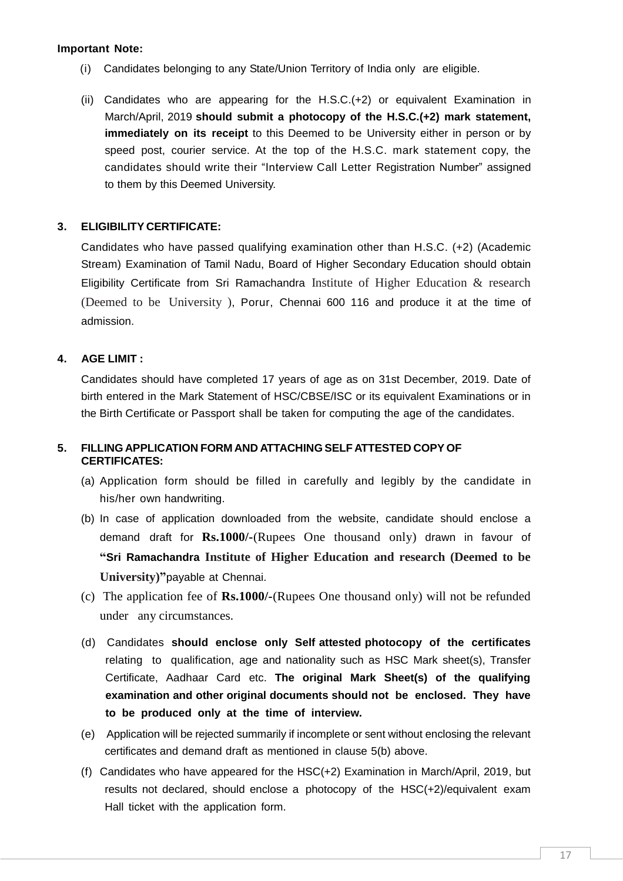### **Important Note:**

- (i) Candidates belonging to any State/Union Territory of India only are eligible.
- (ii) Candidates who are appearing for the H.S.C.(+2) or equivalent Examination in March/April, 2019 **should submit a photocopy of the H.S.C.(+2) mark statement, immediately on its receipt** to this Deemed to be University either in person or by speed post, courier service. At the top of the H.S.C. mark statement copy, the candidates should write their "Interview Call Letter Registration Number" assigned to them by this Deemed University.

### **3. ELIGIBILITY CERTIFICATE:**

Candidates who have passed qualifying examination other than H.S.C. (+2) (Academic Stream) Examination of Tamil Nadu, Board of Higher Secondary Education should obtain Eligibility Certificate from Sri Ramachandra Institute of Higher Education & research (Deemed to be University ), Porur, Chennai 600 116 and produce it at the time of admission.

### **4. AGE LIMIT :**

Candidates should have completed 17 years of age as on 31st December, 2019. Date of birth entered in the Mark Statement of HSC/CBSE/ISC or its equivalent Examinations or in the Birth Certificate or Passport shall be taken for computing the age of the candidates.

### **5. FILLING APPLICATION FORM AND ATTACHING SELF ATTESTED COPY OF CERTIFICATES:**

- (a) Application form should be filled in carefully and legibly by the candidate in his/her own handwriting.
- (b) In case of application downloaded from the website, candidate should enclose a demand draft for **Rs.1000/-**(Rupees One thousand only) drawn in favour of **"Sri Ramachandra Institute of Higher Education and research (Deemed to be University)"**payable at Chennai.
- (c) The application fee of **Rs.1000/-**(Rupees One thousand only) will not be refunded under any circumstances.
- (d) Candidates **should enclose only Self attested photocopy of the certificates**  relating to qualification, age and nationality such as HSC Mark sheet(s), Transfer Certificate, Aadhaar Card etc. **The original Mark Sheet(s) of the qualifying examination and other original documents should not be enclosed. They have to be produced only at the time of interview.**
- (e) Application will be rejected summarily if incomplete or sent without enclosing the relevant certificates and demand draft as mentioned in clause 5(b) above.
- (f) Candidates who have appeared for the HSC(+2) Examination in March/April, 2019, but results not declared, should enclose a photocopy of the HSC(+2)/equivalent exam Hall ticket with the application form.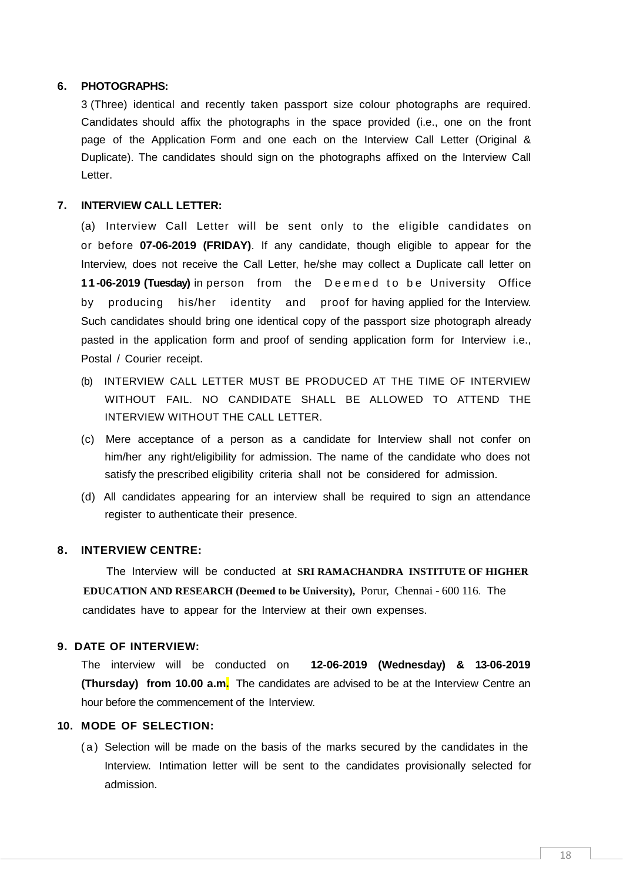### **6. PHOTOGRAPHS:**

3 (Three) identical and recently taken passport size colour photographs are required. Candidates should affix the photographs in the space provided (i.e., one on the front page of the Application Form and one each on the Interview Call Letter (Original & Duplicate). The candidates should sign on the photographs affixed on the Interview Call Letter.

### **7. INTERVIEW CALL LETTER:**

(a) Interview Call Letter will be sent only to the eligible candidates on or before **07-06-2019 (FRIDAY)**. If any candidate, though eligible to appear for the Interview, does not receive the Call Letter, he/she may collect a Duplicate call letter on **11-06-2019 (Tuesday)** in person from the Deemed to be University Office by producing his/her identity and proof for having applied for the Interview. Such candidates should bring one identical copy of the passport size photograph already pasted in the application form and proof of sending application form for Interview i.e., Postal / Courier receipt.

- (b) INTERVIEW CALL LETTER MUST BE PRODUCED AT THE TIME OF INTERVIEW WITHOUT FAIL. NO CANDIDATE SHALL BE ALLOWED TO ATTEND THE INTERVIEW WITHOUT THE CALL LETTER.
- (c) Mere acceptance of a person as a candidate for Interview shall not confer on him/her any right/eligibility for admission. The name of the candidate who does not satisfy the prescribed eligibility criteria shall not be considered for admission.
- (d) All candidates appearing for an interview shall be required to sign an attendance register to authenticate their presence.

### **8. INTERVIEW CENTRE:**

 The Interview will be conducted at **SRI RAMACHANDRA INSTITUTE OF HIGHER EDUCATION AND RESEARCH (Deemed to be University),** Porur, Chennai - 600 116. The candidates have to appear for the Interview at their own expenses.

### **9. DATE OF INTERVIEW:**

The interview will be conducted on **12-06-2019 (Wednesday) & 13-06-2019 (Thursday) from 10.00 a.m.** The candidates are advised to be at the Interview Centre an hour before the commencement of the Interview.

### **10. MODE OF SELECTION:**

( a ) Selection will be made on the basis of the marks secured by the candidates in the Interview. Intimation letter will be sent to the candidates provisionally selected for admission.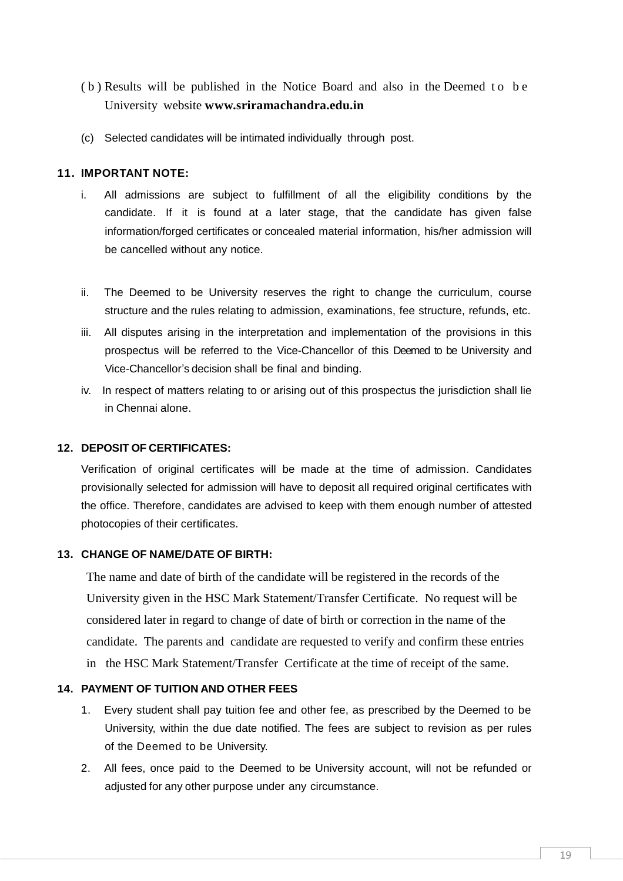- (b) Results will be published in the Notice Board and also in the Deemed to be University website **[www.sriramachandra.edu.in](http://www.sriramachandra.edu.in/)**
- (c) Selected candidates will be intimated individually through post.

### **11. IMPORTANT NOTE:**

- i. All admissions are subject to fulfillment of all the eligibility conditions by the candidate. If it is found at a later stage, that the candidate has given false information/forged certificates or concealed material information, his/her admission will be cancelled without any notice.
- ii. The Deemed to be University reserves the right to change the curriculum, course structure and the rules relating to admission, examinations, fee structure, refunds, etc.
- iii. All disputes arising in the interpretation and implementation of the provisions in this prospectus will be referred to the Vice-Chancellor of this Deemed to be University and Vice-Chancellor's decision shall be final and binding.
- iv. In respect of matters relating to or arising out of this prospectus the jurisdiction shall lie in Chennai alone.

### **12. DEPOSIT OF CERTIFICATES:**

Verification of original certificates will be made at the time of admission. Candidates provisionally selected for admission will have to deposit all required original certificates with the office. Therefore, candidates are advised to keep with them enough number of attested photocopies of their certificates.

### **13. CHANGE OF NAME/DATE OF BIRTH:**

 The name and date of birth of the candidate will be registered in the records of the University given in the HSC Mark Statement/Transfer Certificate. No request will be considered later in regard to change of date of birth or correction in the name of the candidate. The parents and candidate are requested to verify and confirm these entries in the HSC Mark Statement/Transfer Certificate at the time of receipt of the same.

### **14. PAYMENT OF TUITION AND OTHER FEES**

- 1. Every student shall pay tuition fee and other fee, as prescribed by the Deemed to be University, within the due date notified. The fees are subject to revision as per rules of the Deemed to be University.
- 2. All fees, once paid to the Deemed to be University account, will not be refunded or adjusted for any other purpose under any circumstance.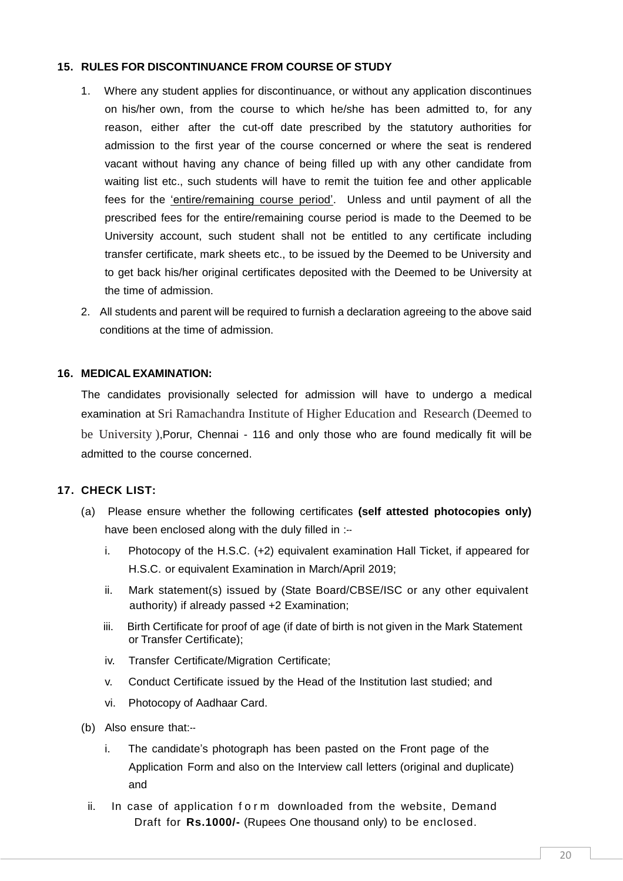### **15. RULES FOR DISCONTINUANCE FROM COURSE OF STUDY**

- 1. Where any student applies for discontinuance, or without any application discontinues on his/her own, from the course to which he/she has been admitted to, for any reason, either after the cut-off date prescribed by the statutory authorities for admission to the first year of the course concerned or where the seat is rendered vacant without having any chance of being filled up with any other candidate from waiting list etc., such students will have to remit the tuition fee and other applicable fees for the 'entire/remaining course period'. Unless and until payment of all the prescribed fees for the entire/remaining course period is made to the Deemed to be University account, such student shall not be entitled to any certificate including transfer certificate, mark sheets etc., to be issued by the Deemed to be University and to get back his/her original certificates deposited with the Deemed to be University at the time of admission.
- 2. All students and parent will be required to furnish a declaration agreeing to the above said conditions at the time of admission.

### **16. MEDICAL EXAMINATION:**

The candidates provisionally selected for admission will have to undergo a medical examination at Sri Ramachandra Institute of Higher Education and Research (Deemed to be University ),Porur, Chennai - 116 and only those who are found medically fit will be admitted to the course concerned.

### **17. CHECK LIST:**

- (a) Please ensure whether the following certificates **(self attested photocopies only)** have been enclosed along with the duly filled in :-
	- i. Photocopy of the H.S.C. (+2) equivalent examination Hall Ticket, if appeared for H.S.C. or equivalent Examination in March/April 2019;
	- ii. Mark statement(s) issued by (State Board/CBSE/ISC or any other equivalent authority) if already passed +2 Examination;
	- iii. Birth Certificate for proof of age (if date of birth is not given in the Mark Statement or Transfer Certificate);
	- iv. Transfer Certificate/Migration Certificate;
	- v. Conduct Certificate issued by the Head of the Institution last studied; and
	- vi. Photocopy of Aadhaar Card.
- (b) Also ensure that:-
	- i. The candidate's photograph has been pasted on the Front page of the Application Form and also on the Interview call letters (original and duplicate) and
	- ii. In case of application form downloaded from the website, Demand Draft for **Rs.1000/-** (Rupees One thousand only) to be enclosed.